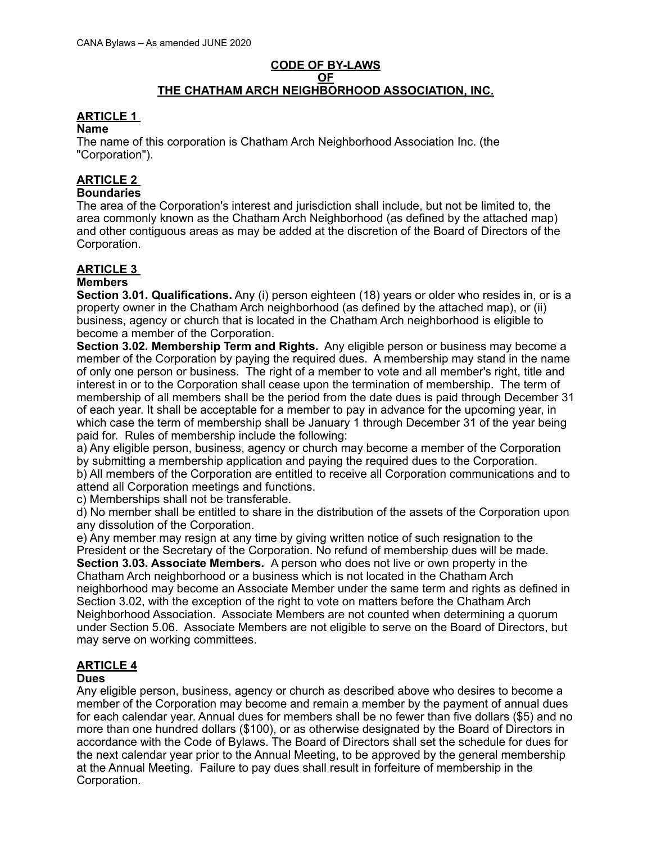### **CODE OF BY-LAWS OF THE CHATHAM ARCH NEIGHBORHOOD ASSOCIATION, INC.**

### **ARTICLE 1**

#### **Name**

The name of this corporation is Chatham Arch Neighborhood Association Inc. (the "Corporation").

# **ARTICLE 2**

### **Boundaries**

The area of the Corporation's interest and jurisdiction shall include, but not be limited to, the area commonly known as the Chatham Arch Neighborhood (as defined by the attached map) and other contiguous areas as may be added at the discretion of the Board of Directors of the Corporation.

# **ARTICLE 3**

### **Members**

**Section 3.01. Qualifications.** Any (i) person eighteen (18) years or older who resides in, or is a property owner in the Chatham Arch neighborhood (as defined by the attached map), or (ii) business, agency or church that is located in the Chatham Arch neighborhood is eligible to become a member of the Corporation.

**Section 3.02. Membership Term and Rights.** Any eligible person or business may become a member of the Corporation by paying the required dues. A membership may stand in the name of only one person or business. The right of a member to vote and all member's right, title and interest in or to the Corporation shall cease upon the termination of membership. The term of membership of all members shall be the period from the date dues is paid through December 31 of each year. It shall be acceptable for a member to pay in advance for the upcoming year, in which case the term of membership shall be January 1 through December 31 of the year being paid for. Rules of membership include the following:

a) Any eligible person, business, agency or church may become a member of the Corporation by submitting a membership application and paying the required dues to the Corporation. b) All members of the Corporation are entitled to receive all Corporation communications and to attend all Corporation meetings and functions.

c) Memberships shall not be transferable.

d) No member shall be entitled to share in the distribution of the assets of the Corporation upon any dissolution of the Corporation.

e) Any member may resign at any time by giving written notice of such resignation to the President or the Secretary of the Corporation. No refund of membership dues will be made.

**Section 3.03. Associate Members.** A person who does not live or own property in the Chatham Arch neighborhood or a business which is not located in the Chatham Arch neighborhood may become an Associate Member under the same term and rights as defined in Section 3.02, with the exception of the right to vote on matters before the Chatham Arch Neighborhood Association. Associate Members are not counted when determining a quorum under Section 5.06. Associate Members are not eligible to serve on the Board of Directors, but may serve on working committees.

#### **ARTICLE 4 Dues**

Any eligible person, business, agency or church as described above who desires to become a member of the Corporation may become and remain a member by the payment of annual dues for each calendar year. Annual dues for members shall be no fewer than five dollars (\$5) and no more than one hundred dollars (\$100), or as otherwise designated by the Board of Directors in accordance with the Code of Bylaws. The Board of Directors shall set the schedule for dues for the next calendar year prior to the Annual Meeting, to be approved by the general membership at the Annual Meeting. Failure to pay dues shall result in forfeiture of membership in the Corporation.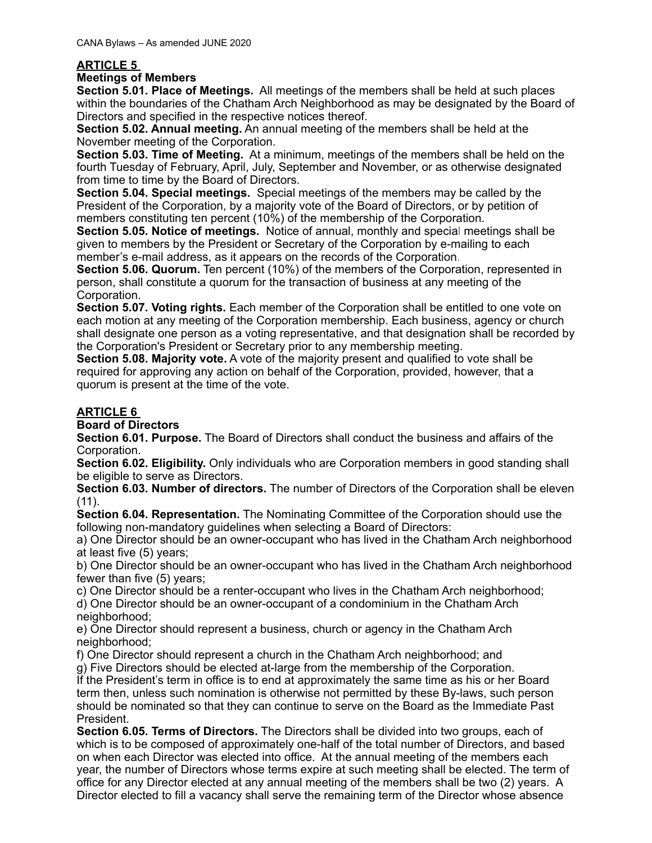### **ARTICLE 5**

#### **Meetings of Members**

**Section 5.01. Place of Meetings.** All meetings of the members shall be held at such places within the boundaries of the Chatham Arch Neighborhood as may be designated by the Board of Directors and specified in the respective notices thereof.

**Section 5.02. Annual meeting.** An annual meeting of the members shall be held at the November meeting of the Corporation.

**Section 5.03. Time of Meeting.** At a minimum, meetings of the members shall be held on the fourth Tuesday of February, April, July, September and November, or as otherwise designated from time to time by the Board of Directors.

**Section 5.04. Special meetings.** Special meetings of the members may be called by the President of the Corporation, by a majority vote of the Board of Directors, or by petition of members constituting ten percent (10%) of the membership of the Corporation.

**Section 5.05. Notice of meetings.** Notice of annual, monthly and special meetings shall be given to members by the President or Secretary of the Corporation by e-mailing to each member's e-mail address, as it appears on the records of the Corporation.

**Section 5.06. Quorum.** Ten percent (10%) of the members of the Corporation, represented in person, shall constitute a quorum for the transaction of business at any meeting of the Corporation.

**Section 5.07. Voting rights.** Each member of the Corporation shall be entitled to one vote on each motion at any meeting of the Corporation membership. Each business, agency or church shall designate one person as a voting representative, and that designation shall be recorded by the Corporation's President or Secretary prior to any membership meeting.

**Section 5.08. Majority vote.** A vote of the majority present and qualified to vote shall be required for approving any action on behalf of the Corporation, provided, however, that a quorum is present at the time of the vote.

## **ARTICLE 6**

**Board of Directors** 

**Section 6.01. Purpose.** The Board of Directors shall conduct the business and affairs of the Corporation.

**Section 6.02. Eligibility.** Only individuals who are Corporation members in good standing shall be eligible to serve as Directors.

**Section 6.03. Number of directors.** The number of Directors of the Corporation shall be eleven (11).

**Section 6.04. Representation.** The Nominating Committee of the Corporation should use the following non-mandatory guidelines when selecting a Board of Directors:

a) One Director should be an owner-occupant who has lived in the Chatham Arch neighborhood at least five (5) years;

b) One Director should be an owner-occupant who has lived in the Chatham Arch neighborhood fewer than five (5) years;

c) One Director should be a renter-occupant who lives in the Chatham Arch neighborhood;

d) One Director should be an owner-occupant of a condominium in the Chatham Arch neighborhood:

e) One Director should represent a business, church or agency in the Chatham Arch neighborhood:

f) One Director should represent a church in the Chatham Arch neighborhood; and

g) Five Directors should be elected at-large from the membership of the Corporation.

If the President's term in office is to end at approximately the same time as his or her Board term then, unless such nomination is otherwise not permitted by these By-laws, such person should be nominated so that they can continue to serve on the Board as the Immediate Past President.

**Section 6.05. Terms of Directors.** The Directors shall be divided into two groups, each of which is to be composed of approximately one-half of the total number of Directors, and based on when each Director was elected into office. At the annual meeting of the members each year, the number of Directors whose terms expire at such meeting shall be elected. The term of office for any Director elected at any annual meeting of the members shall be two (2) years. A Director elected to fill a vacancy shall serve the remaining term of the Director whose absence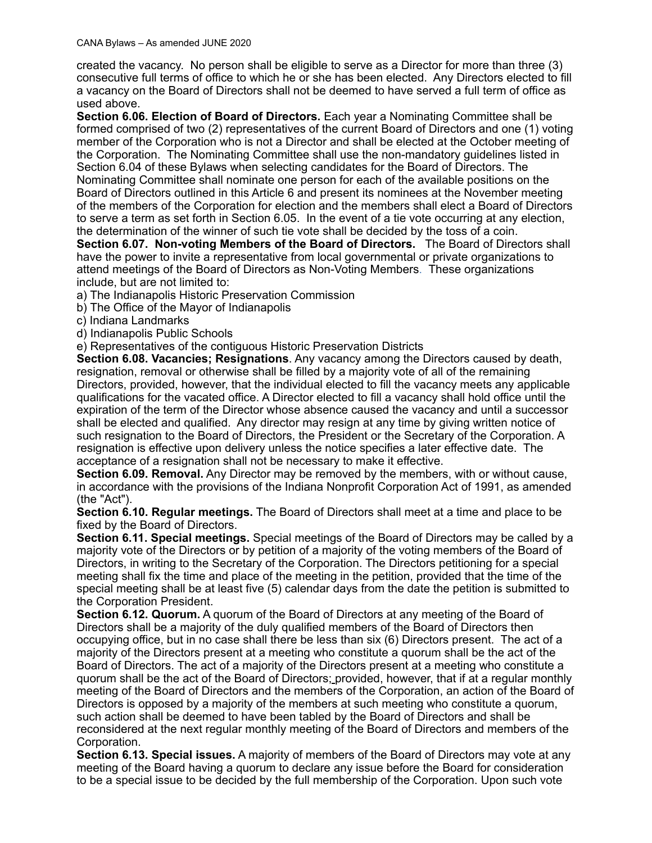created the vacancy. No person shall be eligible to serve as a Director for more than three (3) consecutive full terms of office to which he or she has been elected. Any Directors elected to fill a vacancy on the Board of Directors shall not be deemed to have served a full term of office as used above.

**Section 6.06. Election of Board of Directors.** Each year a Nominating Committee shall be formed comprised of two (2) representatives of the current Board of Directors and one (1) voting member of the Corporation who is not a Director and shall be elected at the October meeting of the Corporation. The Nominating Committee shall use the non-mandatory guidelines listed in Section 6.04 of these Bylaws when selecting candidates for the Board of Directors. The Nominating Committee shall nominate one person for each of the available positions on the Board of Directors outlined in this Article 6 and present its nominees at the November meeting of the members of the Corporation for election and the members shall elect a Board of Directors to serve a term as set forth in Section 6.05. In the event of a tie vote occurring at any election, the determination of the winner of such tie vote shall be decided by the toss of a coin.

**Section 6.07. Non-voting Members of the Board of Directors.** The Board of Directors shall have the power to invite a representative from local governmental or private organizations to attend meetings of the Board of Directors as Non-Voting Members. These organizations include, but are not limited to:

a) The Indianapolis Historic Preservation Commission

b) The Office of the Mayor of Indianapolis

c) Indiana Landmarks

d) Indianapolis Public Schools

e) Representatives of the contiguous Historic Preservation Districts

**Section 6.08. Vacancies; Resignations**. Any vacancy among the Directors caused by death, resignation, removal or otherwise shall be filled by a majority vote of all of the remaining Directors, provided, however, that the individual elected to fill the vacancy meets any applicable qualifications for the vacated office. A Director elected to fill a vacancy shall hold office until the expiration of the term of the Director whose absence caused the vacancy and until a successor shall be elected and qualified. Any director may resign at any time by giving written notice of such resignation to the Board of Directors, the President or the Secretary of the Corporation. A resignation is effective upon delivery unless the notice specifies a later effective date. The acceptance of a resignation shall not be necessary to make it effective.

**Section 6.09. Removal.** Any Director may be removed by the members, with or without cause, in accordance with the provisions of the Indiana Nonprofit Corporation Act of 1991, as amended (the "Act").

**Section 6.10. Regular meetings.** The Board of Directors shall meet at a time and place to be fixed by the Board of Directors.

**Section 6.11. Special meetings.** Special meetings of the Board of Directors may be called by a majority vote of the Directors or by petition of a majority of the voting members of the Board of Directors, in writing to the Secretary of the Corporation. The Directors petitioning for a special meeting shall fix the time and place of the meeting in the petition, provided that the time of the special meeting shall be at least five (5) calendar days from the date the petition is submitted to the Corporation President.

**Section 6.12. Quorum.** A quorum of the Board of Directors at any meeting of the Board of Directors shall be a majority of the duly qualified members of the Board of Directors then occupying office, but in no case shall there be less than six (6) Directors present. The act of a majority of the Directors present at a meeting who constitute a quorum shall be the act of the Board of Directors. The act of a majority of the Directors present at a meeting who constitute a quorum shall be the act of the Board of Directors; provided, however, that if at a regular monthly meeting of the Board of Directors and the members of the Corporation, an action of the Board of Directors is opposed by a majority of the members at such meeting who constitute a quorum, such action shall be deemed to have been tabled by the Board of Directors and shall be reconsidered at the next regular monthly meeting of the Board of Directors and members of the Corporation.

**Section 6.13. Special issues.** A majority of members of the Board of Directors may vote at any meeting of the Board having a quorum to declare any issue before the Board for consideration to be a special issue to be decided by the full membership of the Corporation. Upon such vote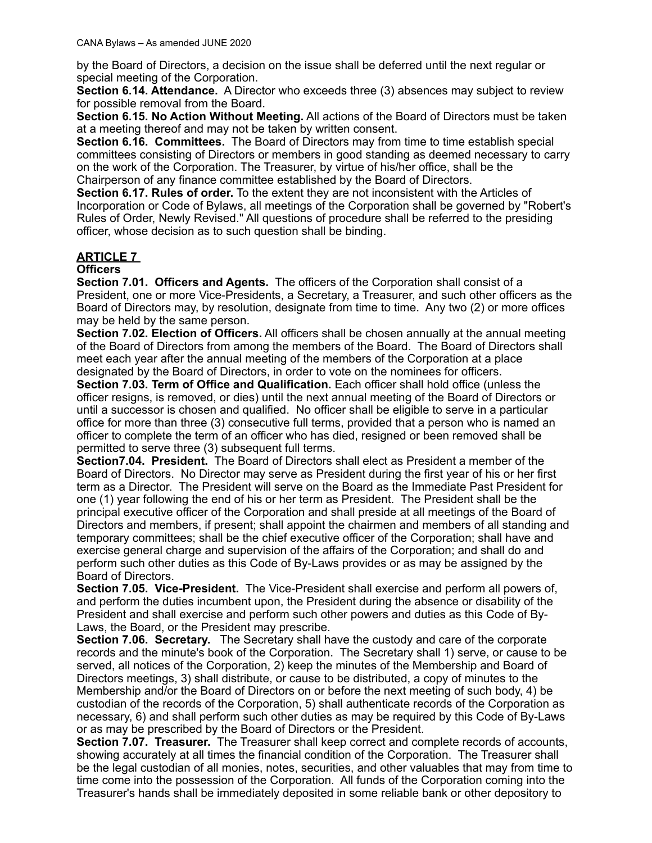by the Board of Directors, a decision on the issue shall be deferred until the next regular or special meeting of the Corporation.

**Section 6.14. Attendance.** A Director who exceeds three (3) absences may subject to review for possible removal from the Board.

**Section 6.15. No Action Without Meeting.** All actions of the Board of Directors must be taken at a meeting thereof and may not be taken by written consent.

**Section 6.16. Committees.** The Board of Directors may from time to time establish special committees consisting of Directors or members in good standing as deemed necessary to carry on the work of the Corporation. The Treasurer, by virtue of his/her office, shall be the Chairperson of any finance committee established by the Board of Directors.

**Section 6.17. Rules of order.** To the extent they are not inconsistent with the Articles of Incorporation or Code of Bylaws, all meetings of the Corporation shall be governed by "Robert's Rules of Order, Newly Revised." All questions of procedure shall be referred to the presiding officer, whose decision as to such question shall be binding.

#### **ARTICLE 7 Officers**

**Section 7.01. Officers and Agents.** The officers of the Corporation shall consist of a President, one or more Vice-Presidents, a Secretary, a Treasurer, and such other officers as the Board of Directors may, by resolution, designate from time to time. Any two (2) or more offices may be held by the same person.

**Section 7.02. Election of Officers.** All officers shall be chosen annually at the annual meeting of the Board of Directors from among the members of the Board. The Board of Directors shall meet each year after the annual meeting of the members of the Corporation at a place designated by the Board of Directors, in order to vote on the nominees for officers.

**Section 7.03. Term of Office and Qualification.** Each officer shall hold office (unless the officer resigns, is removed, or dies) until the next annual meeting of the Board of Directors or until a successor is chosen and qualified. No officer shall be eligible to serve in a particular office for more than three (3) consecutive full terms, provided that a person who is named an officer to complete the term of an officer who has died, resigned or been removed shall be permitted to serve three (3) subsequent full terms.

**Section7.04. President.** The Board of Directors shall elect as President a member of the Board of Directors. No Director may serve as President during the first year of his or her first term as a Director. The President will serve on the Board as the Immediate Past President for one (1) year following the end of his or her term as President. The President shall be the principal executive officer of the Corporation and shall preside at all meetings of the Board of Directors and members, if present; shall appoint the chairmen and members of all standing and temporary committees; shall be the chief executive officer of the Corporation; shall have and exercise general charge and supervision of the affairs of the Corporation; and shall do and perform such other duties as this Code of By-Laws provides or as may be assigned by the Board of Directors.

**Section 7.05. Vice-President.** The Vice-President shall exercise and perform all powers of, and perform the duties incumbent upon, the President during the absence or disability of the President and shall exercise and perform such other powers and duties as this Code of By-Laws, the Board, or the President may prescribe.

**Section 7.06. Secretary.** The Secretary shall have the custody and care of the corporate records and the minute's book of the Corporation. The Secretary shall 1) serve, or cause to be served, all notices of the Corporation, 2) keep the minutes of the Membership and Board of Directors meetings, 3) shall distribute, or cause to be distributed, a copy of minutes to the Membership and/or the Board of Directors on or before the next meeting of such body, 4) be custodian of the records of the Corporation, 5) shall authenticate records of the Corporation as necessary, 6) and shall perform such other duties as may be required by this Code of By-Laws or as may be prescribed by the Board of Directors or the President.

**Section 7.07. Treasurer.** The Treasurer shall keep correct and complete records of accounts, showing accurately at all times the financial condition of the Corporation. The Treasurer shall be the legal custodian of all monies, notes, securities, and other valuables that may from time to time come into the possession of the Corporation. All funds of the Corporation coming into the Treasurer's hands shall be immediately deposited in some reliable bank or other depository to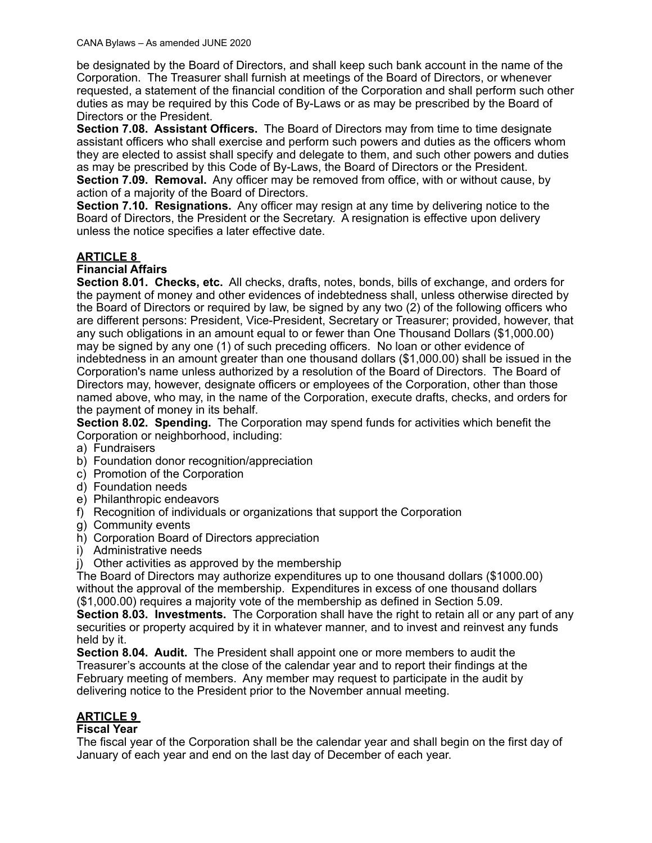be designated by the Board of Directors, and shall keep such bank account in the name of the Corporation. The Treasurer shall furnish at meetings of the Board of Directors, or whenever requested, a statement of the financial condition of the Corporation and shall perform such other duties as may be required by this Code of By-Laws or as may be prescribed by the Board of Directors or the President.

**Section 7.08. Assistant Officers.** The Board of Directors may from time to time designate assistant officers who shall exercise and perform such powers and duties as the officers whom they are elected to assist shall specify and delegate to them, and such other powers and duties as may be prescribed by this Code of By-Laws, the Board of Directors or the President. **Section 7.09. Removal.** Any officer may be removed from office, with or without cause, by

action of a majority of the Board of Directors.

**Section 7.10. Resignations.** Any officer may resign at any time by delivering notice to the Board of Directors, the President or the Secretary. A resignation is effective upon delivery unless the notice specifies a later effective date.

### **ARTICLE 8**

#### **Financial Affairs**

**Section 8.01. Checks, etc.** All checks, drafts, notes, bonds, bills of exchange, and orders for the payment of money and other evidences of indebtedness shall, unless otherwise directed by the Board of Directors or required by law, be signed by any two (2) of the following officers who are different persons: President, Vice-President, Secretary or Treasurer; provided, however, that any such obligations in an amount equal to or fewer than One Thousand Dollars (\$1,000.00) may be signed by any one (1) of such preceding officers. No loan or other evidence of indebtedness in an amount greater than one thousand dollars (\$1,000.00) shall be issued in the Corporation's name unless authorized by a resolution of the Board of Directors. The Board of Directors may, however, designate officers or employees of the Corporation, other than those named above, who may, in the name of the Corporation, execute drafts, checks, and orders for the payment of money in its behalf.

**Section 8.02. Spending.** The Corporation may spend funds for activities which benefit the Corporation or neighborhood, including:

- a) Fundraisers
- b) Foundation donor recognition/appreciation
- c) Promotion of the Corporation
- d) Foundation needs
- e) Philanthropic endeavors
- f) Recognition of individuals or organizations that support the Corporation
- g) Community events
- h) Corporation Board of Directors appreciation
- i) Administrative needs
- j) Other activities as approved by the membership

The Board of Directors may authorize expenditures up to one thousand dollars (\$1000.00) without the approval of the membership. Expenditures in excess of one thousand dollars (\$1,000.00) requires a majority vote of the membership as defined in Section 5.09.

**Section 8.03. Investments.** The Corporation shall have the right to retain all or any part of any securities or property acquired by it in whatever manner, and to invest and reinvest any funds held by it.

**Section 8.04. Audit.** The President shall appoint one or more members to audit the Treasurer's accounts at the close of the calendar year and to report their findings at the February meeting of members. Any member may request to participate in the audit by delivering notice to the President prior to the November annual meeting.

## **ARTICLE 9**

#### **Fiscal Year**

The fiscal year of the Corporation shall be the calendar year and shall begin on the first day of January of each year and end on the last day of December of each year.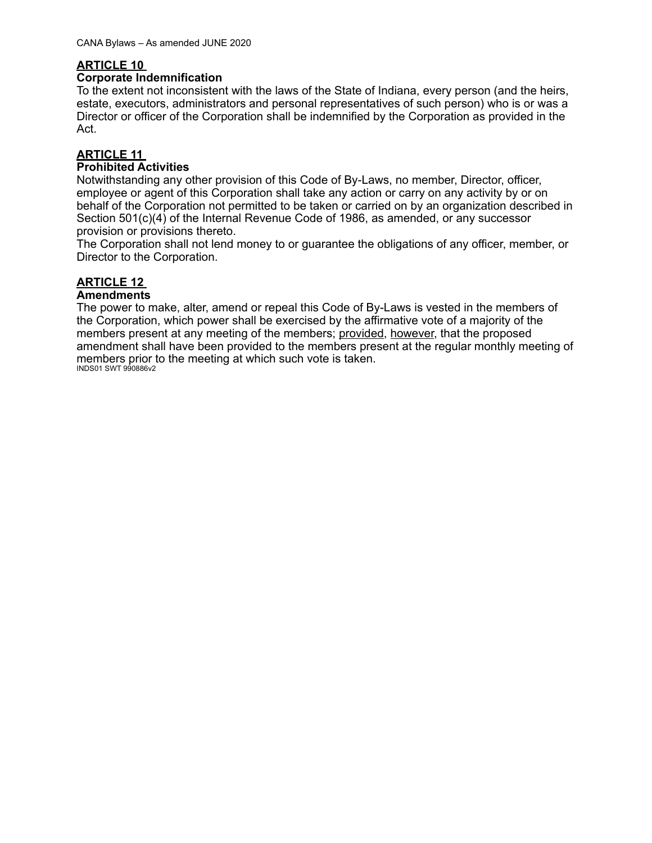### **ARTICLE 10**

#### **Corporate Indemnification**

To the extent not inconsistent with the laws of the State of Indiana, every person (and the heirs, estate, executors, administrators and personal representatives of such person) who is or was a Director or officer of the Corporation shall be indemnified by the Corporation as provided in the Act.

## **ARTICLE 11**

#### **Prohibited Activities**

Notwithstanding any other provision of this Code of By-Laws, no member, Director, officer, employee or agent of this Corporation shall take any action or carry on any activity by or on behalf of the Corporation not permitted to be taken or carried on by an organization described in Section 501(c)(4) of the Internal Revenue Code of 1986, as amended, or any successor provision or provisions thereto.

The Corporation shall not lend money to or guarantee the obligations of any officer, member, or Director to the Corporation.

# **ARTICLE 12**

#### **Amendments**

The power to make, alter, amend or repeal this Code of By-Laws is vested in the members of the Corporation, which power shall be exercised by the affirmative vote of a majority of the members present at any meeting of the members; provided, however, that the proposed amendment shall have been provided to the members present at the regular monthly meeting of members prior to the meeting at which such vote is taken. INDS01 SWT 990886v2